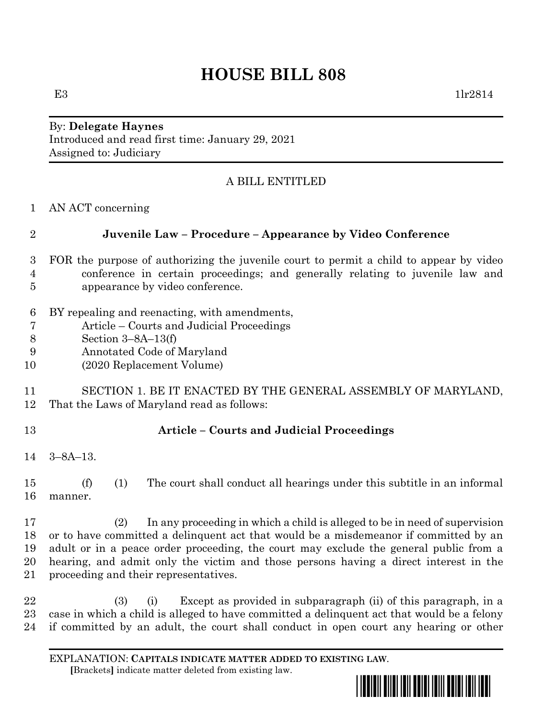# **HOUSE BILL 808**

E3  $1\text{lr}2814$ 

By: **Delegate Haynes** Introduced and read first time: January 29, 2021 Assigned to: Judiciary

### A BILL ENTITLED

AN ACT concerning

# **Juvenile Law – Procedure – Appearance by Video Conference**

- FOR the purpose of authorizing the juvenile court to permit a child to appear by video conference in certain proceedings; and generally relating to juvenile law and appearance by video conference.
- BY repealing and reenacting, with amendments,
- Article Courts and Judicial Proceedings
- Section 3–8A–13(f)
- Annotated Code of Maryland
- (2020 Replacement Volume)
- SECTION 1. BE IT ENACTED BY THE GENERAL ASSEMBLY OF MARYLAND, That the Laws of Maryland read as follows:
- 

#### **Article – Courts and Judicial Proceedings**

3–8A–13.

 (f) (1) The court shall conduct all hearings under this subtitle in an informal manner.

 (2) In any proceeding in which a child is alleged to be in need of supervision or to have committed a delinquent act that would be a misdemeanor if committed by an adult or in a peace order proceeding, the court may exclude the general public from a hearing, and admit only the victim and those persons having a direct interest in the proceeding and their representatives.

 (3) (i) Except as provided in subparagraph (ii) of this paragraph, in a case in which a child is alleged to have committed a delinquent act that would be a felony if committed by an adult, the court shall conduct in open court any hearing or other

EXPLANATION: **CAPITALS INDICATE MATTER ADDED TO EXISTING LAW**.  **[**Brackets**]** indicate matter deleted from existing law.